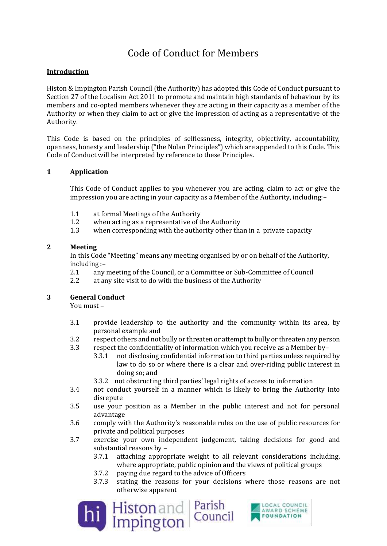# Code of Conduct for Members

## **Introduction**

Histon & Impington Parish Council (the Authority) has adopted this Code of Conduct pursuant to Section 27 of the Localism Act 2011 to promote and maintain high standards of behaviour by its members and co-opted members whenever they are acting in their capacity as a member of the Authority or when they claim to act or give the impression of acting as a representative of the Authority.

This Code is based on the principles of selflessness, integrity, objectivity, accountability, openness, honesty and leadership ("the Nolan Principles") which are appended to this Code. This Code of Conduct will be interpreted by reference to these Principles.

## **1 Application**

This Code of Conduct applies to you whenever you are acting, claim to act or give the impression you are acting in your capacity as a Member of the Authority, including:–

- 1.1 at formal Meetings of the Authority
- 1.2 when acting as a representative of the Authority
- 1.3 when corresponding with the authority other than in a private capacity

### **2 Meeting**

In this Code "Meeting" means any meeting organised by or on behalf of the Authority, including :–

- 2.1 any meeting of the Council, or a Committee or Sub-Committee of Council
- 2.2 at any site visit to do with the business of the Authority

### **3 General Conduct**

You must –

- 3.1 provide leadership to the authority and the community within its area, by personal example and
- 3.2 respect others and not bully or threaten or attempt to bully or threaten any person
- 3.3 respect the confidentiality of information which you receive as a Member by–
	- 3.3.1 not disclosing confidential information to third parties unless required by law to do so or where there is a clear and over-riding public interest in doing so; and
	- 3.3.2 not obstructing third parties' legal rights of access to information
- 3.4 not conduct yourself in a manner which is likely to bring the Authority into disrepute
- 3.5 use your position as a Member in the public interest and not for personal advantage
- 3.6 comply with the Authority's reasonable rules on the use of public resources for private and political purposes
- 3.7 exercise your own independent judgement, taking decisions for good and substantial reasons by –
	- 3.7.1 attaching appropriate weight to all relevant considerations including, where appropriate, public opinion and the views of political groups
	- 3.7.2 paying due regard to the advice of Officers
	- 3.7.3 stating the reasons for your decisions where those reasons are not otherwise apparent



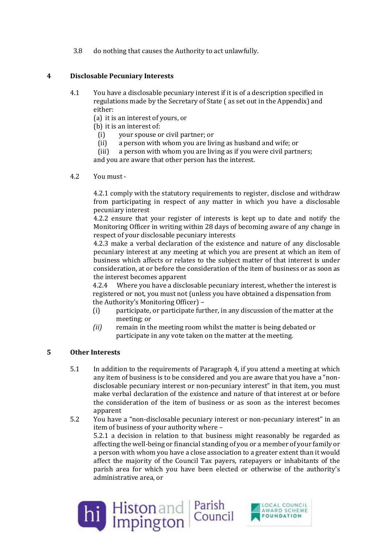3.8 do nothing that causes the Authority to act unlawfully.

## **4 Disclosable Pecuniary Interests**

4.1 You have a disclosable pecuniary interest if it is of a description specified in regulations made by the Secretary of State ( as set out in the Appendix) and either:

(a) it is an interest of yours, or

- (b) it is an interest of:
	- (i) your spouse or civil partner; or
	- (ii) a person with whom you are living as husband and wife; or

(iii) a person with whom you are living as if you were civil partners;

and you are aware that other person has the interest.

4.2 You must -

4.2.1 comply with the statutory requirements to register, disclose and withdraw from participating in respect of any matter in which you have a disclosable pecuniary interest

4.2.2 ensure that your register of interests is kept up to date and notify the Monitoring Officer in writing within 28 days of becoming aware of any change in respect of your disclosable pecuniary interests

4.2.3 make a verbal declaration of the existence and nature of any disclosable pecuniary interest at any meeting at which you are present at which an item of business which affects or relates to the subject matter of that interest is under consideration, at or before the consideration of the item of business or as soon as the interest becomes apparent

4.2.4 Where you have a disclosable pecuniary interest, whether the interest is registered or not, you must not (unless you have obtained a dispensation from the Authority's Monitoring Officer) –

- (i) participate, or participate further, in any discussion of the matter at the meeting; or
- *(ii)* remain in the meeting room whilst the matter is being debated or participate in any vote taken on the matter at the meeting*.*

### **5 Other Interests**

- 5.1 In addition to the requirements of Paragraph 4, if you attend a meeting at which any item of business is to be considered and you are aware that you have a "nondisclosable pecuniary interest or non-pecuniary interest" in that item, you must make verbal declaration of the existence and nature of that interest at or before the consideration of the item of business or as soon as the interest becomes apparent
- 5.2 You have a "non-disclosable pecuniary interest or non-pecuniary interest" in an item of business of your authority where – 5.2.1 a decision in relation to that business might reasonably be regarded as affecting the well-being or financial standing of you or a member of your family or a person with whom you have a close association to a greater extent than it would affect the majority of the Council Tax payers, ratepayers or inhabitants of the parish area for which you have been elected or otherwise of the authority's administrative area, or



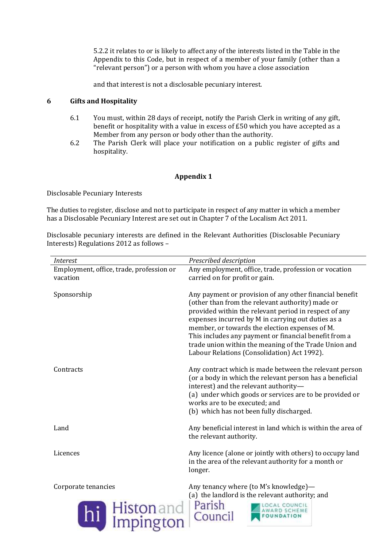5.2.2 it relates to or is likely to affect any of the interests listed in the Table in the Appendix to this Code, but in respect of a member of your family (other than a "relevant person") or a person with whom you have a close association

and that interest is not a disclosable pecuniary interest.

### **6 Gifts and Hospitality**

- 6.1 You must, within 28 days of receipt, notify the Parish Clerk in writing of any gift, benefit or hospitality with a value in excess of £50 which you have accepted as a Member from any person or body other than the authority.
- 6.2 The Parish Clerk will place your notification on a public register of gifts and hospitality.

### **Appendix 1**

Disclosable Pecuniary Interests

The duties to register, disclose and not to participate in respect of any matter in which a member has a Disclosable Pecuniary Interest are set out in Chapter 7 of the Localism Act 2011.

Disclosable pecuniary interests are defined in the Relevant Authorities (Disclosable Pecuniary Interests) Regulations 2012 as follows –

| <b>Interest</b>                                       | Prescribed description                                                                                                                                                                                                                                                                                                                                                                                                                        |
|-------------------------------------------------------|-----------------------------------------------------------------------------------------------------------------------------------------------------------------------------------------------------------------------------------------------------------------------------------------------------------------------------------------------------------------------------------------------------------------------------------------------|
| Employment, office, trade, profession or              | Any employment, office, trade, profession or vocation                                                                                                                                                                                                                                                                                                                                                                                         |
| vacation                                              | carried on for profit or gain.                                                                                                                                                                                                                                                                                                                                                                                                                |
| Sponsorship                                           | Any payment or provision of any other financial benefit<br>(other than from the relevant authority) made or<br>provided within the relevant period in respect of any<br>expenses incurred by M in carrying out duties as a<br>member, or towards the election expenses of M.<br>This includes any payment or financial benefit from a<br>trade union within the meaning of the Trade Union and<br>Labour Relations (Consolidation) Act 1992). |
| Contracts                                             | Any contract which is made between the relevant person<br>(or a body in which the relevant person has a beneficial<br>interest) and the relevant authority-<br>(a) under which goods or services are to be provided or<br>works are to be executed; and<br>(b) which has not been fully discharged.                                                                                                                                           |
| Land                                                  | Any beneficial interest in land which is within the area of<br>the relevant authority.                                                                                                                                                                                                                                                                                                                                                        |
| Licences                                              | Any licence (alone or jointly with others) to occupy land<br>in the area of the relevant authority for a month or<br>longer.                                                                                                                                                                                                                                                                                                                  |
| Corporate tenancies<br><b>Histon</b> and<br>Impington | Any tenancy where (to M's knowledge)-<br>(a) the landlord is the relevant authority; and<br>Parish<br>Council                                                                                                                                                                                                                                                                                                                                 |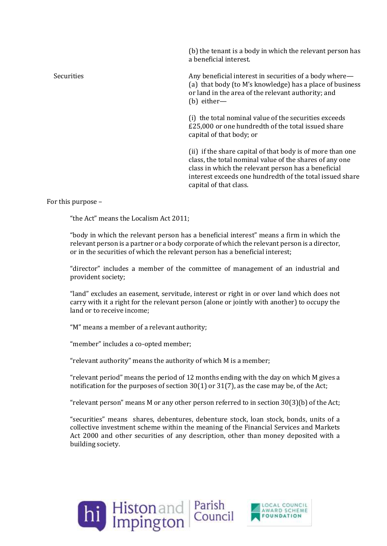(b) the tenant is a body in which the relevant person has a beneficial interest.

Securities **Any beneficial interest in securities of a body where—** (a) that body (to M's knowledge) has a place of business or land in the area of the relevant authority; and (b) either—

> (i) the total nominal value of the securities exceeds £25,000 or one hundredth of the total issued share capital of that body; or

(ii) if the share capital of that body is of more than one class, the total nominal value of the shares of any one class in which the relevant person has a beneficial interest exceeds one hundredth of the total issued share capital of that class.

For this purpose –

"the Act" means the Localism Act 2011;

"body in which the relevant person has a beneficial interest" means a firm in which the relevant person is a partner or a body corporate of which the relevant person is a director, or in the securities of which the relevant person has a beneficial interest;

"director" includes a member of the committee of management of an industrial and provident society;

"land" excludes an easement, servitude, interest or right in or over land which does not carry with it a right for the relevant person (alone or jointly with another) to occupy the land or to receive income;

"M" means a member of a relevant authority;

"member" includes a co-opted member;

"relevant authority" means the authority of which M is a member;

"relevant period" means the period of 12 months ending with the day on which M gives a notification for the purposes of section 30(1) or 31(7), as the case may be, of the Act;

"relevant person" means M or any other person referred to in section 30(3)(b) of the Act;

"securities" means shares, debentures, debenture stock, loan stock, bonds, units of a collective investment scheme within the meaning of the Financial Services and Markets Act 2000 and other securities of any description, other than money deposited with a building society.